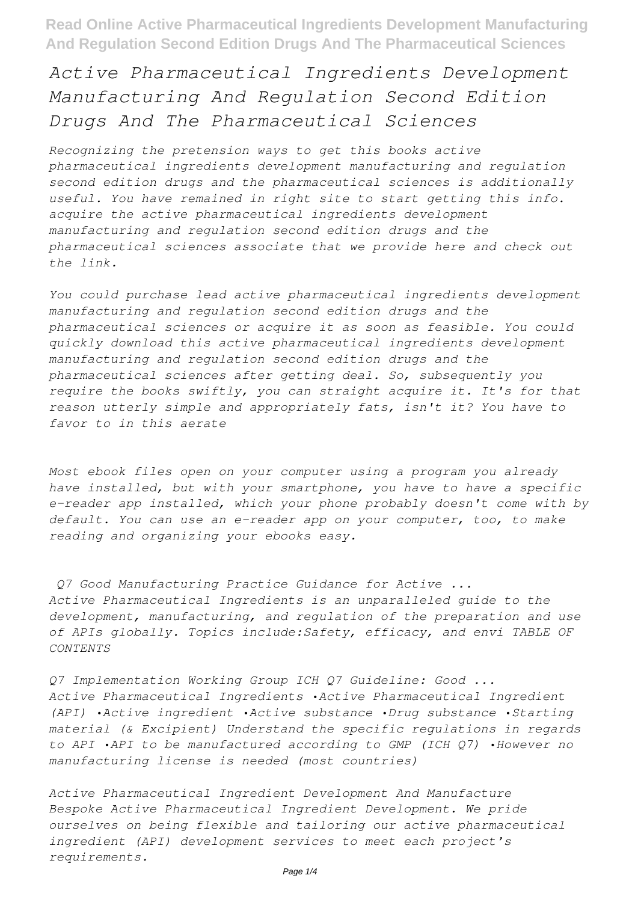## *Active Pharmaceutical Ingredients Development Manufacturing And Regulation Second Edition Drugs And The Pharmaceutical Sciences*

*Recognizing the pretension ways to get this books active pharmaceutical ingredients development manufacturing and regulation second edition drugs and the pharmaceutical sciences is additionally useful. You have remained in right site to start getting this info. acquire the active pharmaceutical ingredients development manufacturing and regulation second edition drugs and the pharmaceutical sciences associate that we provide here and check out the link.*

*You could purchase lead active pharmaceutical ingredients development manufacturing and regulation second edition drugs and the pharmaceutical sciences or acquire it as soon as feasible. You could quickly download this active pharmaceutical ingredients development manufacturing and regulation second edition drugs and the pharmaceutical sciences after getting deal. So, subsequently you require the books swiftly, you can straight acquire it. It's for that reason utterly simple and appropriately fats, isn't it? You have to favor to in this aerate*

*Most ebook files open on your computer using a program you already have installed, but with your smartphone, you have to have a specific e-reader app installed, which your phone probably doesn't come with by default. You can use an e-reader app on your computer, too, to make reading and organizing your ebooks easy.*

*Q7 Good Manufacturing Practice Guidance for Active ... Active Pharmaceutical Ingredients is an unparalleled guide to the development, manufacturing, and regulation of the preparation and use of APIs globally. Topics include:Safety, efficacy, and envi TABLE OF CONTENTS*

*Q7 Implementation Working Group ICH Q7 Guideline: Good ... Active Pharmaceutical Ingredients •Active Pharmaceutical Ingredient (API) •Active ingredient •Active substance •Drug substance •Starting material (& Excipient) Understand the specific regulations in regards to API •API to be manufactured according to GMP (ICH Q7) •However no manufacturing license is needed (most countries)*

*Active Pharmaceutical Ingredient Development And Manufacture Bespoke Active Pharmaceutical Ingredient Development. We pride ourselves on being flexible and tailoring our active pharmaceutical ingredient (API) development services to meet each project's requirements.*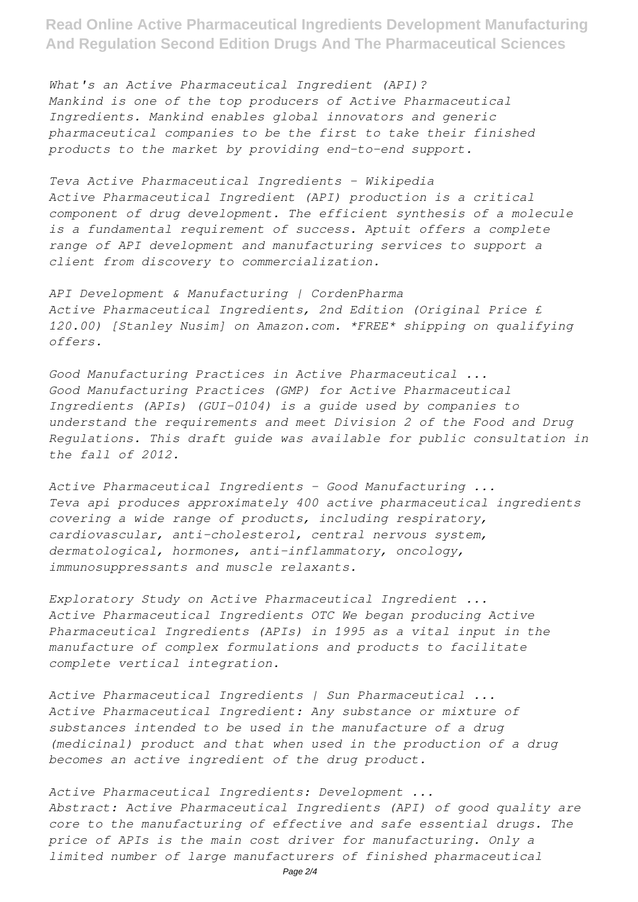*What's an Active Pharmaceutical Ingredient (API)? Mankind is one of the top producers of Active Pharmaceutical Ingredients. Mankind enables global innovators and generic pharmaceutical companies to be the first to take their finished products to the market by providing end-to-end support.*

*Teva Active Pharmaceutical Ingredients - Wikipedia Active Pharmaceutical Ingredient (API) production is a critical component of drug development. The efficient synthesis of a molecule is a fundamental requirement of success. Aptuit offers a complete range of API development and manufacturing services to support a client from discovery to commercialization.*

*API Development & Manufacturing | CordenPharma Active Pharmaceutical Ingredients, 2nd Edition (Original Price £ 120.00) [Stanley Nusim] on Amazon.com. \*FREE\* shipping on qualifying offers.*

*Good Manufacturing Practices in Active Pharmaceutical ... Good Manufacturing Practices (GMP) for Active Pharmaceutical Ingredients (APIs) (GUI-0104) is a guide used by companies to understand the requirements and meet Division 2 of the Food and Drug Regulations. This draft guide was available for public consultation in the fall of 2012.*

*Active Pharmaceutical Ingredients - Good Manufacturing ... Teva api produces approximately 400 active pharmaceutical ingredients covering a wide range of products, including respiratory, cardiovascular, anti-cholesterol, central nervous system, dermatological, hormones, anti-inflammatory, oncology, immunosuppressants and muscle relaxants.*

*Exploratory Study on Active Pharmaceutical Ingredient ... Active Pharmaceutical Ingredients OTC We began producing Active Pharmaceutical Ingredients (APIs) in 1995 as a vital input in the manufacture of complex formulations and products to facilitate complete vertical integration.*

*Active Pharmaceutical Ingredients | Sun Pharmaceutical ... Active Pharmaceutical Ingredient: Any substance or mixture of substances intended to be used in the manufacture of a drug (medicinal) product and that when used in the production of a drug becomes an active ingredient of the drug product.*

*Active Pharmaceutical Ingredients: Development ... Abstract: Active Pharmaceutical Ingredients (API) of good quality are core to the manufacturing of effective and safe essential drugs. The price of APIs is the main cost driver for manufacturing. Only a limited number of large manufacturers of finished pharmaceutical*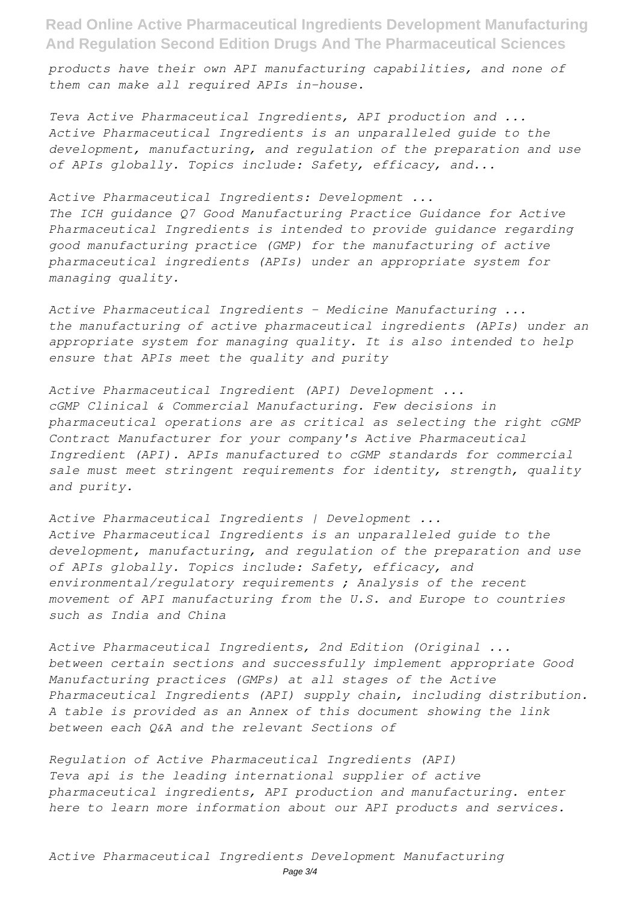*products have their own API manufacturing capabilities, and none of them can make all required APIs in-house.*

*Teva Active Pharmaceutical Ingredients, API production and ... Active Pharmaceutical Ingredients is an unparalleled guide to the development, manufacturing, and regulation of the preparation and use of APIs globally. Topics include: Safety, efficacy, and...*

## *Active Pharmaceutical Ingredients: Development ...*

*The ICH guidance Q7 Good Manufacturing Practice Guidance for Active Pharmaceutical Ingredients is intended to provide guidance regarding good manufacturing practice (GMP) for the manufacturing of active pharmaceutical ingredients (APIs) under an appropriate system for managing quality.*

*Active Pharmaceutical Ingredients - Medicine Manufacturing ... the manufacturing of active pharmaceutical ingredients (APIs) under an appropriate system for managing quality. It is also intended to help ensure that APIs meet the quality and purity*

*Active Pharmaceutical Ingredient (API) Development ... cGMP Clinical & Commercial Manufacturing. Few decisions in pharmaceutical operations are as critical as selecting the right cGMP Contract Manufacturer for your company's Active Pharmaceutical Ingredient (API). APIs manufactured to cGMP standards for commercial sale must meet stringent requirements for identity, strength, quality and purity.*

*Active Pharmaceutical Ingredients | Development ... Active Pharmaceutical Ingredients is an unparalleled guide to the development, manufacturing, and regulation of the preparation and use of APIs globally. Topics include: Safety, efficacy, and environmental/regulatory requirements ; Analysis of the recent movement of API manufacturing from the U.S. and Europe to countries such as India and China*

*Active Pharmaceutical Ingredients, 2nd Edition (Original ... between certain sections and successfully implement appropriate Good Manufacturing practices (GMPs) at all stages of the Active Pharmaceutical Ingredients (API) supply chain, including distribution. A table is provided as an Annex of this document showing the link between each Q&A and the relevant Sections of*

*Regulation of Active Pharmaceutical Ingredients (API) Teva api is the leading international supplier of active pharmaceutical ingredients, API production and manufacturing. enter here to learn more information about our API products and services.*